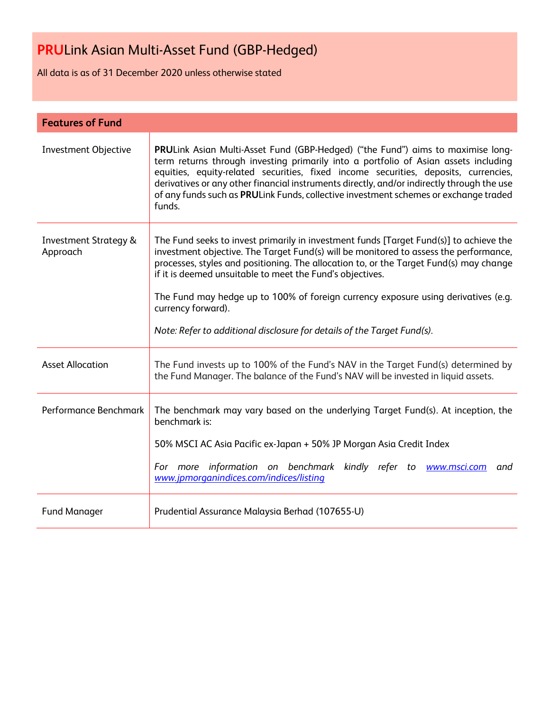All data is as of 31 December 2020 unless otherwise stated

| <b>Features of Fund</b>                      |                                                                                                                                                                                                                                                                                                                                                                                                                                                                                                                               |  |  |
|----------------------------------------------|-------------------------------------------------------------------------------------------------------------------------------------------------------------------------------------------------------------------------------------------------------------------------------------------------------------------------------------------------------------------------------------------------------------------------------------------------------------------------------------------------------------------------------|--|--|
| <b>Investment Objective</b>                  | PRULink Asian Multi-Asset Fund (GBP-Hedged) ("the Fund") aims to maximise long-<br>term returns through investing primarily into a portfolio of Asian assets including<br>equities, equity-related securities, fixed income securities, deposits, currencies,<br>derivatives or any other financial instruments directly, and/or indirectly through the use<br>of any funds such as PRULink Funds, collective investment schemes or exchange traded<br>funds.                                                                 |  |  |
| <b>Investment Strategy &amp;</b><br>Approach | The Fund seeks to invest primarily in investment funds [Target Fund(s)] to achieve the<br>investment objective. The Target Fund(s) will be monitored to assess the performance,<br>processes, styles and positioning. The allocation to, or the Target Fund(s) may change<br>if it is deemed unsuitable to meet the Fund's objectives.<br>The Fund may hedge up to 100% of foreign currency exposure using derivatives (e.g.<br>currency forward).<br>Note: Refer to additional disclosure for details of the Target Fund(s). |  |  |
| <b>Asset Allocation</b>                      | The Fund invests up to 100% of the Fund's NAV in the Target Fund(s) determined by<br>the Fund Manager. The balance of the Fund's NAV will be invested in liquid assets.                                                                                                                                                                                                                                                                                                                                                       |  |  |
| Performance Benchmark                        | The benchmark may vary based on the underlying Target Fund(s). At inception, the<br>benchmark is:<br>50% MSCI AC Asia Pacific ex-Japan + 50% JP Morgan Asia Credit Index<br>For more information on benchmark kindly refer to www.msci.com and<br>www.jpmorganindices.com/indices/listing                                                                                                                                                                                                                                     |  |  |
| <b>Fund Manager</b>                          | Prudential Assurance Malaysia Berhad (107655-U)                                                                                                                                                                                                                                                                                                                                                                                                                                                                               |  |  |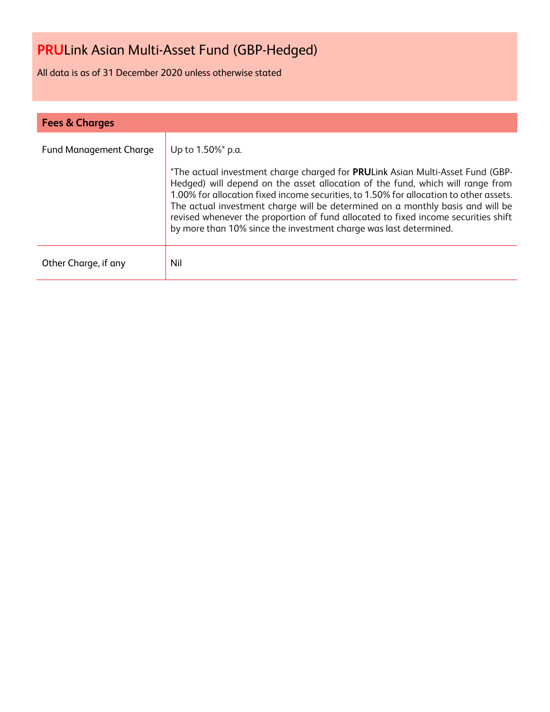All data is as of 31 December 2020 unless otherwise stated

| <b>Fees &amp; Charges</b>     |                                                                                                                                                                                                                                                                                                                                                                                                                                                                                                                              |  |  |
|-------------------------------|------------------------------------------------------------------------------------------------------------------------------------------------------------------------------------------------------------------------------------------------------------------------------------------------------------------------------------------------------------------------------------------------------------------------------------------------------------------------------------------------------------------------------|--|--|
| <b>Fund Management Charge</b> | Up to 1.50%* p.a.<br>*The actual investment charge charged for PRULink Asian Multi-Asset Fund (GBP-<br>Hedged) will depend on the asset allocation of the fund, which will range from<br>1.00% for allocation fixed income securities, to 1.50% for allocation to other assets.<br>The actual investment charge will be determined on a monthly basis and will be<br>revised whenever the proportion of fund allocated to fixed income securities shift<br>by more than 10% since the investment charge was last determined. |  |  |
| Other Charge, if any          | Nil                                                                                                                                                                                                                                                                                                                                                                                                                                                                                                                          |  |  |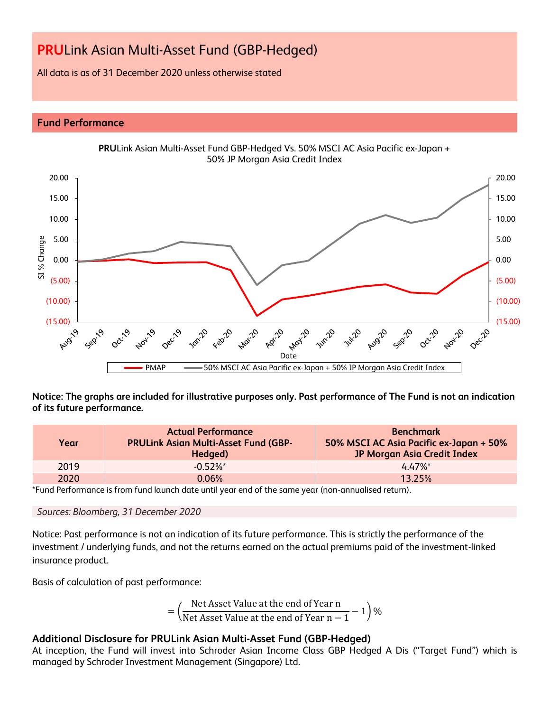All data is as of 31 December 2020 unless otherwise stated

### **Fund Performance**



**Notice: The graphs are included for illustrative purposes only. Past performance of The Fund is not an indication of its future performance.**

| Year | <b>Actual Performance</b><br><b>PRULink Asian Multi-Asset Fund (GBP-</b><br>Hedged) | <b>Benchmark</b><br>50% MSCI AC Asia Pacific ex-Japan + 50%<br>JP Morgan Asia Credit Index |
|------|-------------------------------------------------------------------------------------|--------------------------------------------------------------------------------------------|
| 2019 | $-0.52\%$ *                                                                         | 447%                                                                                       |
| 2020 | 0.06%                                                                               | 13.25%                                                                                     |

\*Fund Performance is from fund launch date until year end of the same year (non-annualised return).

#### *Sources: Bloomberg, 31 December 2020*

Notice: Past performance is not an indication of its future performance. This is strictly the performance of the investment / underlying funds, and not the returns earned on the actual premiums paid of the investment-linked insurance product.

Basis of calculation of past performance:

$$
= \left(\frac{\text{Net Asset Value at the end of Year n}}{\text{Net Asset Value at the end of Year n} - 1}\right)\%
$$

### **Additional Disclosure for PRULink Asian Multi-Asset Fund (GBP-Hedged)**

At inception, the Fund will invest into Schroder Asian Income Class GBP Hedged A Dis ("Target Fund") which is managed by Schroder Investment Management (Singapore) Ltd.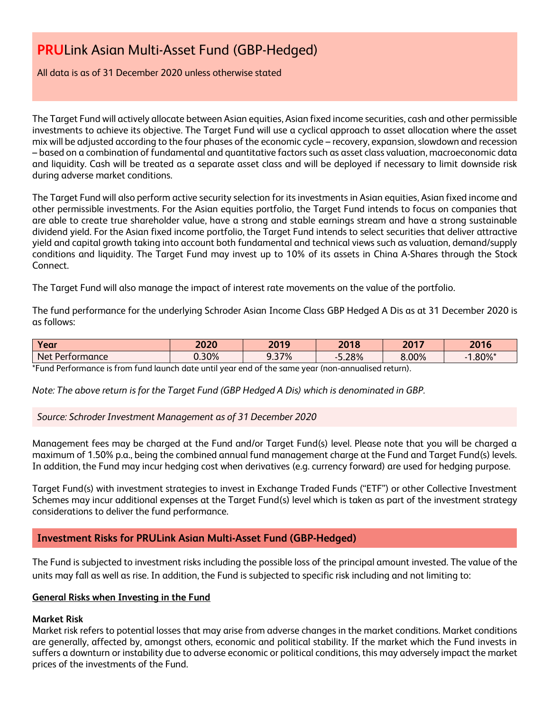All data is as of 31 December 2020 unless otherwise stated

The Target Fund will actively allocate between Asian equities, Asian fixed income securities, cash and other permissible investments to achieve its objective. The Target Fund will use a cyclical approach to asset allocation where the asset mix will be adjusted according to the four phases of the economic cycle – recovery, expansion, slowdown and recession – based on a combination of fundamental and quantitative factors such as asset class valuation, macroeconomic data and liquidity. Cash will be treated as a separate asset class and will be deployed if necessary to limit downside risk during adverse market conditions.

The Target Fund will also perform active security selection for its investments in Asian equities, Asian fixed income and other permissible investments. For the Asian equities portfolio, the Target Fund intends to focus on companies that are able to create true shareholder value, have a strong and stable earnings stream and have a strong sustainable dividend yield. For the Asian fixed income portfolio, the Target Fund intends to select securities that deliver attractive yield and capital growth taking into account both fundamental and technical views such as valuation, demand/supply conditions and liquidity. The Target Fund may invest up to 10% of its assets in China A-Shares through the Stock Connect.

The Target Fund will also manage the impact of interest rate movements on the value of the portfolio.

The fund performance for the underlying Schroder Asian Income Class GBP Hedged A Dis as at 31 December 2020 is as follows:

| Year            | 2020     | 2019  | 2018  | 2017  | 201C<br><b>2016</b> |
|-----------------|----------|-------|-------|-------|---------------------|
| Net Performance | $J.30\%$ | 3.37% | 5.28% | 8.00% | .80%*               |
|                 |          |       |       |       |                     |

\*Fund Performance is from fund launch date until year end of the same year (non-annualised return).

*Note: The above return is for the Target Fund (GBP Hedged A Dis) which is denominated in GBP.*

*Source: Schroder Investment Management as of 31 December 2020*

Management fees may be charged at the Fund and/or Target Fund(s) level. Please note that you will be charged a maximum of 1.50% p.a., being the combined annual fund management charge at the Fund and Target Fund(s) levels. In addition, the Fund may incur hedging cost when derivatives (e.g. currency forward) are used for hedging purpose.

Target Fund(s) with investment strategies to invest in Exchange Traded Funds ("ETF") or other Collective Investment Schemes may incur additional expenses at the Target Fund(s) level which is taken as part of the investment strategy considerations to deliver the fund performance.

### **Investment Risks for PRULink Asian Multi-Asset Fund (GBP-Hedged)**

The Fund is subjected to investment risks including the possible loss of the principal amount invested. The value of the units may fall as well as rise. In addition, the Fund is subjected to specific risk including and not limiting to:

#### **General Risks when Investing in the Fund**

#### **Market Risk**

Market risk refers to potential losses that may arise from adverse changes in the market conditions. Market conditions are generally, affected by, amongst others, economic and political stability. If the market which the Fund invests in suffers a downturn or instability due to adverse economic or political conditions, this may adversely impact the market prices of the investments of the Fund.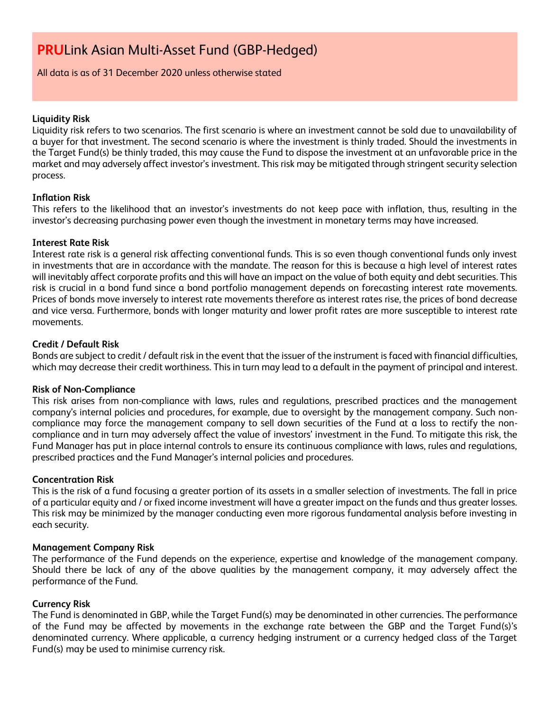All data is as of 31 December 2020 unless otherwise stated

#### **Liquidity Risk**

Liquidity risk refers to two scenarios. The first scenario is where an investment cannot be sold due to unavailability of a buyer for that investment. The second scenario is where the investment is thinly traded. Should the investments in the Target Fund(s) be thinly traded, this may cause the Fund to dispose the investment at an unfavorable price in the market and may adversely affect investor's investment. This risk may be mitigated through stringent security selection process.

#### **Inflation Risk**

This refers to the likelihood that an investor's investments do not keep pace with inflation, thus, resulting in the investor's decreasing purchasing power even though the investment in monetary terms may have increased.

#### **Interest Rate Risk**

Interest rate risk is a general risk affecting conventional funds. This is so even though conventional funds only invest in investments that are in accordance with the mandate. The reason for this is because a high level of interest rates will inevitably affect corporate profits and this will have an impact on the value of both equity and debt securities. This risk is crucial in a bond fund since a bond portfolio management depends on forecasting interest rate movements. Prices of bonds move inversely to interest rate movements therefore as interest rates rise, the prices of bond decrease and vice versa. Furthermore, bonds with longer maturity and lower profit rates are more susceptible to interest rate movements.

#### **Credit / Default Risk**

Bonds are subject to credit / default risk in the event that the issuer of the instrument is faced with financial difficulties, which may decrease their credit worthiness. This in turn may lead to a default in the payment of principal and interest.

#### **Risk of Non-Compliance**

This risk arises from non-compliance with laws, rules and regulations, prescribed practices and the management company's internal policies and procedures, for example, due to oversight by the management company. Such noncompliance may force the management company to sell down securities of the Fund at a loss to rectify the noncompliance and in turn may adversely affect the value of investors' investment in the Fund. To mitigate this risk, the Fund Manager has put in place internal controls to ensure its continuous compliance with laws, rules and regulations, prescribed practices and the Fund Manager's internal policies and procedures.

#### **Concentration Risk**

This is the risk of a fund focusing a greater portion of its assets in a smaller selection of investments. The fall in price of a particular equity and / or fixed income investment will have a greater impact on the funds and thus greater losses. This risk may be minimized by the manager conducting even more rigorous fundamental analysis before investing in each security.

#### **Management Company Risk**

The performance of the Fund depends on the experience, expertise and knowledge of the management company. Should there be lack of any of the above qualities by the management company, it may adversely affect the performance of the Fund.

#### **Currency Risk**

The Fund is denominated in GBP, while the Target Fund(s) may be denominated in other currencies. The performance of the Fund may be affected by movements in the exchange rate between the GBP and the Target Fund(s)'s denominated currency. Where applicable, a currency hedging instrument or a currency hedged class of the Target Fund(s) may be used to minimise currency risk.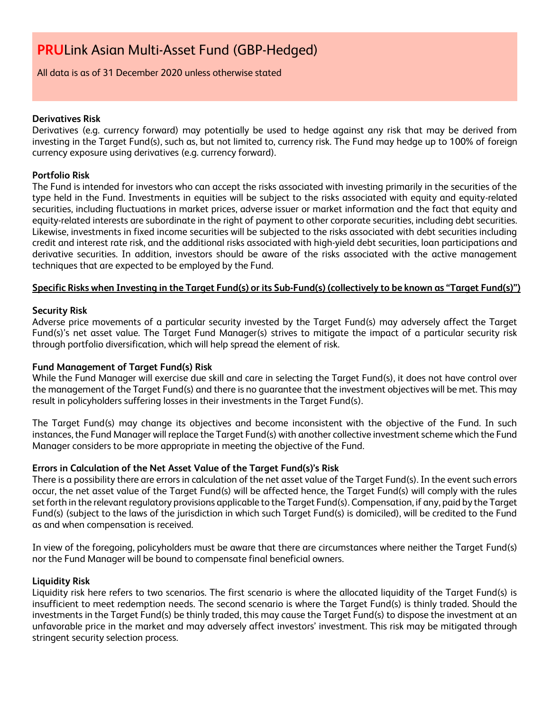All data is as of 31 December 2020 unless otherwise stated

#### **Derivatives Risk**

Derivatives (e.g. currency forward) may potentially be used to hedge against any risk that may be derived from investing in the Target Fund(s), such as, but not limited to, currency risk. The Fund may hedge up to 100% of foreign currency exposure using derivatives (e.g. currency forward).

#### **Portfolio Risk**

The Fund is intended for investors who can accept the risks associated with investing primarily in the securities of the type held in the Fund. Investments in equities will be subject to the risks associated with equity and equity-related securities, including fluctuations in market prices, adverse issuer or market information and the fact that equity and equity-related interests are subordinate in the right of payment to other corporate securities, including debt securities. Likewise, investments in fixed income securities will be subjected to the risks associated with debt securities including credit and interest rate risk, and the additional risks associated with high-yield debt securities, loan participations and derivative securities. In addition, investors should be aware of the risks associated with the active management techniques that are expected to be employed by the Fund.

### **Specific Risks when Investing in the Target Fund(s) or its Sub-Fund(s) (collectively to be known as "Target Fund(s)")**

### **Security Risk**

Adverse price movements of a particular security invested by the Target Fund(s) may adversely affect the Target Fund(s)'s net asset value. The Target Fund Manager(s) strives to mitigate the impact of a particular security risk through portfolio diversification, which will help spread the element of risk.

### **Fund Management of Target Fund(s) Risk**

While the Fund Manager will exercise due skill and care in selecting the Target Fund(s), it does not have control over the management of the Target Fund(s) and there is no guarantee that the investment objectives will be met. This may result in policyholders suffering losses in their investments in the Target Fund(s).

The Target Fund(s) may change its objectives and become inconsistent with the objective of the Fund. In such instances, the Fund Manager will replace the Target Fund(s) with another collective investment scheme which the Fund Manager considers to be more appropriate in meeting the objective of the Fund.

#### **Errors in Calculation of the Net Asset Value of the Target Fund(s)'s Risk**

There is a possibility there are errors in calculation of the net asset value of the Target Fund(s). In the event such errors occur, the net asset value of the Target Fund(s) will be affected hence, the Target Fund(s) will comply with the rules set forth in the relevant regulatory provisions applicable to the Target Fund(s). Compensation, if any, paid by the Target Fund(s) (subject to the laws of the jurisdiction in which such Target Fund(s) is domiciled), will be credited to the Fund as and when compensation is received.

In view of the foregoing, policyholders must be aware that there are circumstances where neither the Target Fund(s) nor the Fund Manager will be bound to compensate final beneficial owners.

#### **Liquidity Risk**

Liquidity risk here refers to two scenarios. The first scenario is where the allocated liquidity of the Target Fund(s) is insufficient to meet redemption needs. The second scenario is where the Target Fund(s) is thinly traded. Should the investments in the Target Fund(s) be thinly traded, this may cause the Target Fund(s) to dispose the investment at an unfavorable price in the market and may adversely affect investors' investment. This risk may be mitigated through stringent security selection process.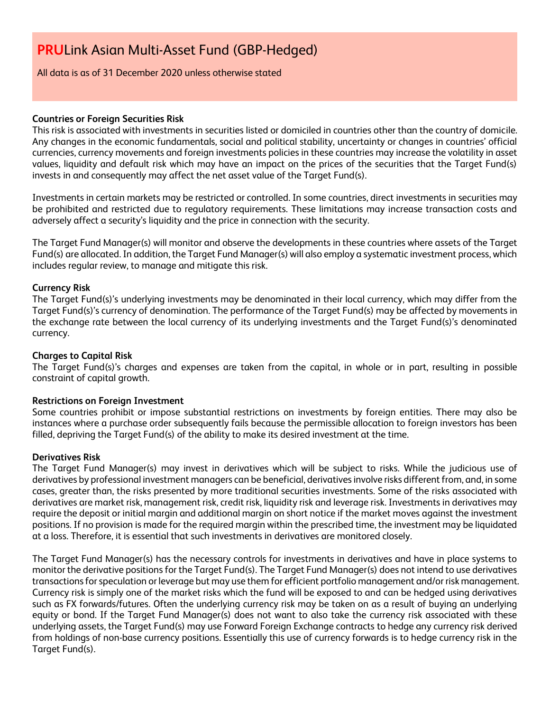All data is as of 31 December 2020 unless otherwise stated

#### **Countries or Foreign Securities Risk**

This risk is associated with investments in securities listed or domiciled in countries other than the country of domicile. Any changes in the economic fundamentals, social and political stability, uncertainty or changes in countries' official currencies, currency movements and foreign investments policies in these countries may increase the volatility in asset values, liquidity and default risk which may have an impact on the prices of the securities that the Target Fund(s) invests in and consequently may affect the net asset value of the Target Fund(s).

Investments in certain markets may be restricted or controlled. In some countries, direct investments in securities may be prohibited and restricted due to regulatory requirements. These limitations may increase transaction costs and adversely affect a security's liquidity and the price in connection with the security.

The Target Fund Manager(s) will monitor and observe the developments in these countries where assets of the Target Fund(s) are allocated. In addition, the Target Fund Manager(s) will also employ a systematic investment process, which includes regular review, to manage and mitigate this risk.

#### **Currency Risk**

The Target Fund(s)'s underlying investments may be denominated in their local currency, which may differ from the Target Fund(s)'s currency of denomination. The performance of the Target Fund(s) may be affected by movements in the exchange rate between the local currency of its underlying investments and the Target Fund(s)'s denominated currency.

#### **Charges to Capital Risk**

The Target Fund(s)'s charges and expenses are taken from the capital, in whole or in part, resulting in possible constraint of capital growth.

#### **Restrictions on Foreign Investment**

Some countries prohibit or impose substantial restrictions on investments by foreign entities. There may also be instances where a purchase order subsequently fails because the permissible allocation to foreign investors has been filled, depriving the Target Fund(s) of the ability to make its desired investment at the time.

#### **Derivatives Risk**

The Target Fund Manager(s) may invest in derivatives which will be subject to risks. While the judicious use of derivatives by professional investment managers can be beneficial, derivatives involve risks different from, and, in some cases, greater than, the risks presented by more traditional securities investments. Some of the risks associated with derivatives are market risk, management risk, credit risk, liquidity risk and leverage risk. Investments in derivatives may require the deposit or initial margin and additional margin on short notice if the market moves against the investment positions. If no provision is made for the required margin within the prescribed time, the investment may be liquidated at a loss. Therefore, it is essential that such investments in derivatives are monitored closely.

The Target Fund Manager(s) has the necessary controls for investments in derivatives and have in place systems to monitor the derivative positions for the Target Fund(s). The Target Fund Manager(s) does not intend to use derivatives transactions for speculation or leverage but may use them for efficient portfolio management and/or risk management. Currency risk is simply one of the market risks which the fund will be exposed to and can be hedged using derivatives such as FX forwards/futures. Often the underlying currency risk may be taken on as a result of buying an underlying equity or bond. If the Target Fund Manager(s) does not want to also take the currency risk associated with these underlying assets, the Target Fund(s) may use Forward Foreign Exchange contracts to hedge any currency risk derived from holdings of non-base currency positions. Essentially this use of currency forwards is to hedge currency risk in the Target Fund(s).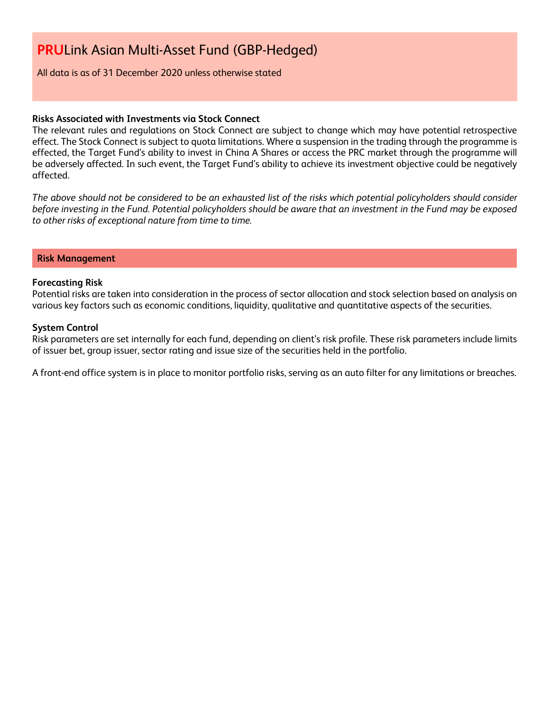#### All data is as of 31 December 2020 unless otherwise stated

#### **Risks Associated with Investments via Stock Connect**

The relevant rules and regulations on Stock Connect are subject to change which may have potential retrospective effect. The Stock Connect is subject to quota limitations. Where a suspension in the trading through the programme is effected, the Target Fund's ability to invest in China A Shares or access the PRC market through the programme will be adversely affected. In such event, the Target Fund's ability to achieve its investment objective could be negatively affected.

*The above should not be considered to be an exhausted list of the risks which potential policyholders should consider before investing in the Fund. Potential policyholders should be aware that an investment in the Fund may be exposed to other risks of exceptional nature from time to time.*

#### **Risk Management**

#### **Forecasting Risk**

Potential risks are taken into consideration in the process of sector allocation and stock selection based on analysis on various key factors such as economic conditions, liquidity, qualitative and quantitative aspects of the securities.

#### **System Control**

Risk parameters are set internally for each fund, depending on client's risk profile. These risk parameters include limits of issuer bet, group issuer, sector rating and issue size of the securities held in the portfolio.

A front-end office system is in place to monitor portfolio risks, serving as an auto filter for any limitations or breaches.